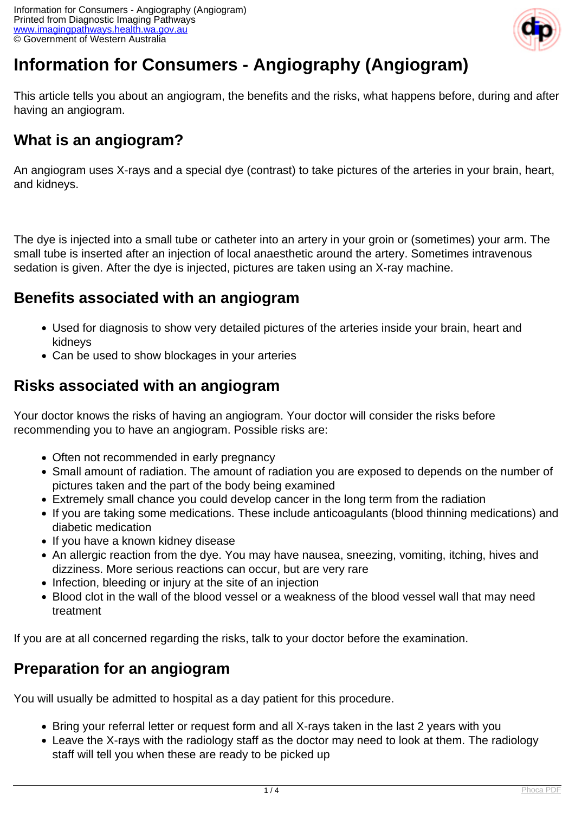

# **Information for Consumers - Angiography (Angiogram)**

This article tells you about an angiogram, the benefits and the risks, what happens before, during and after having an angiogram.

## **What is an angiogram?**

An angiogram uses X-rays and a special dye (contrast) to take pictures of the arteries in your brain, heart, and kidneys.

The dye is injected into a small tube or catheter into an artery in your groin or (sometimes) your arm. The small tube is inserted after an injection of local anaesthetic around the artery. Sometimes intravenous sedation is given. After the dye is injected, pictures are taken using an X-ray machine.

## **Benefits associated with an angiogram**

- Used for diagnosis to show very detailed pictures of the arteries inside your brain, heart and kidneys
- Can be used to show blockages in your arteries

### **Risks associated with an angiogram**

Your doctor knows the risks of having an angiogram. Your doctor will consider the risks before recommending you to have an angiogram. Possible risks are:

- Often not recommended in early pregnancy
- Small amount of radiation. The amount of radiation you are exposed to depends on the number of pictures taken and the part of the body being examined
- Extremely small chance you could develop cancer in the long term from the radiation
- If you are taking some medications. These include anticoagulants (blood thinning medications) and diabetic medication
- If you have a known kidney disease
- An allergic reaction from the dye. You may have nausea, sneezing, vomiting, itching, hives and dizziness. More serious reactions can occur, but are very rare
- Infection, bleeding or injury at the site of an injection
- Blood clot in the wall of the blood vessel or a weakness of the blood vessel wall that may need treatment

If you are at all concerned regarding the risks, talk to your doctor before the examination.

### **Preparation for an angiogram**

You will usually be admitted to hospital as a day patient for this procedure.

- Bring your referral letter or request form and all X-rays taken in the last 2 years with you
- Leave the X-rays with the radiology staff as the doctor may need to look at them. The radiology staff will tell you when these are ready to be picked up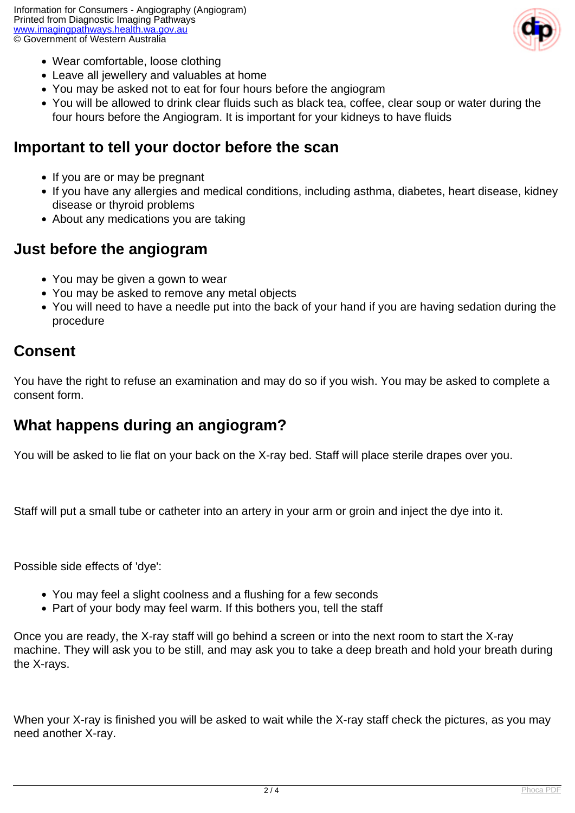

- Wear comfortable, loose clothing
- Leave all jewellery and valuables at home
- You may be asked not to eat for four hours before the angiogram
- You will be allowed to drink clear fluids such as black tea, coffee, clear soup or water during the four hours before the Angiogram. It is important for your kidneys to have fluids

#### **Important to tell your doctor before the scan**

- If you are or may be pregnant
- If you have any allergies and medical conditions, including asthma, diabetes, heart disease, kidney disease or thyroid problems
- About any medications you are taking

#### **Just before the angiogram**

- You may be given a gown to wear
- You may be asked to remove any metal objects
- You will need to have a needle put into the back of your hand if you are having sedation during the procedure

#### **Consent**

You have the right to refuse an examination and may do so if you wish. You may be asked to complete a consent form.

### **What happens during an angiogram?**

You will be asked to lie flat on your back on the X-ray bed. Staff will place sterile drapes over you.

Staff will put a small tube or catheter into an artery in your arm or groin and inject the dye into it.

Possible side effects of 'dye':

- You may feel a slight coolness and a flushing for a few seconds
- Part of your body may feel warm. If this bothers you, tell the staff

Once you are ready, the X-ray staff will go behind a screen or into the next room to start the X-ray machine. They will ask you to be still, and may ask you to take a deep breath and hold your breath during the X-rays.

When your X-ray is finished you will be asked to wait while the X-ray staff check the pictures, as you may need another X-ray.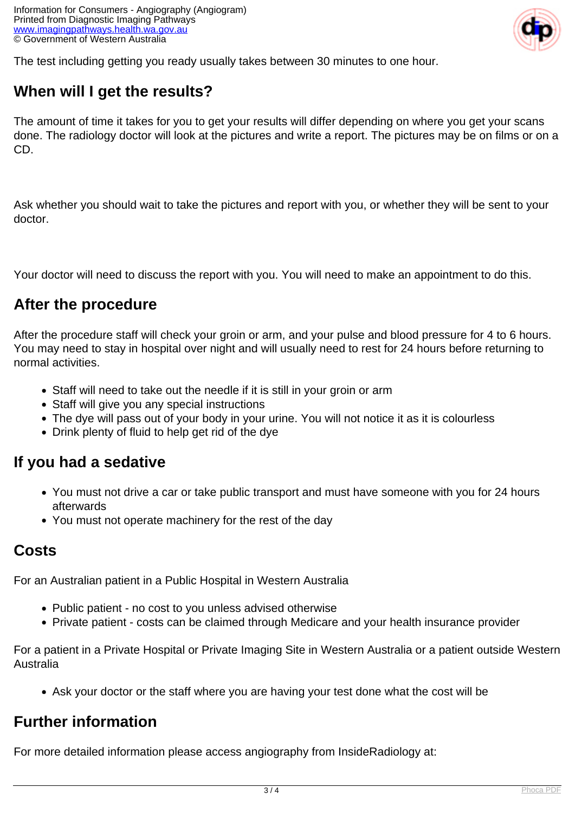

The test including getting you ready usually takes between 30 minutes to one hour.

## **When will I get the results?**

The amount of time it takes for you to get your results will differ depending on where you get your scans done. The radiology doctor will look at the pictures and write a report. The pictures may be on films or on a CD.

Ask whether you should wait to take the pictures and report with you, or whether they will be sent to your doctor.

Your doctor will need to discuss the report with you. You will need to make an appointment to do this.

#### **After the procedure**

After the procedure staff will check your groin or arm, and your pulse and blood pressure for 4 to 6 hours. You may need to stay in hospital over night and will usually need to rest for 24 hours before returning to normal activities.

- Staff will need to take out the needle if it is still in your groin or arm
- Staff will give you any special instructions
- The dye will pass out of your body in your urine. You will not notice it as it is colourless
- Drink plenty of fluid to help get rid of the dye

#### **If you had a sedative**

- You must not drive a car or take public transport and must have someone with you for 24 hours afterwards
- You must not operate machinery for the rest of the day

#### **Costs**

For an Australian patient in a Public Hospital in Western Australia

- Public patient no cost to you unless advised otherwise
- Private patient costs can be claimed through Medicare and your health insurance provider

For a patient in a Private Hospital or Private Imaging Site in Western Australia or a patient outside Western Australia

Ask your doctor or the staff where you are having your test done what the cost will be

### **Further information**

For more detailed information please access angiography from InsideRadiology at: